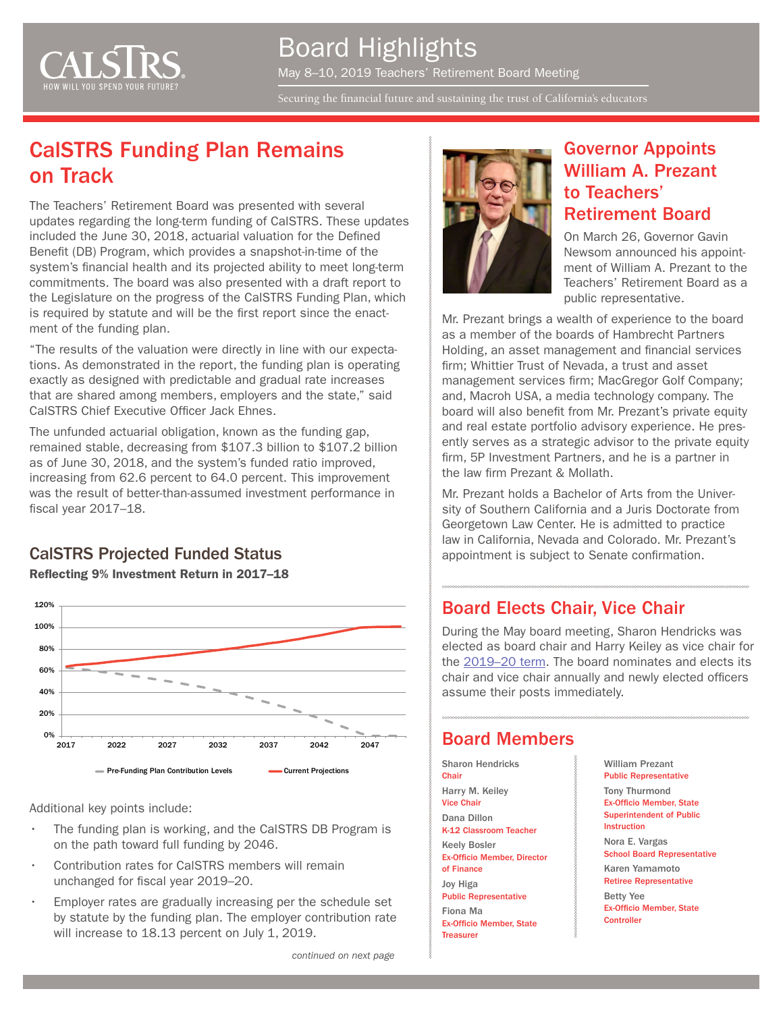

Board Highlights May 8–10, 2019 Teachers' Retirement Board Meeting

Securing the financial future and sustaining the trust of California's  $_{\rm{educators}}$ 

## CalSTRS Funding Plan Remains on Track

The Teachers' Retirement Board was presented with several updates regarding the long-term funding of CalSTRS. These updates included the June 30, 2018, actuarial valuation for the Defined Benefit (DB) Program, which provides a snapshot-in-time of the system's financial health and its projected ability to meet long-term commitments. The board was also presented with a draft report to the Legislature on the progress of the CalSTRS Funding Plan, which is required by statute and will be the first report since the enactment of the funding plan.

"The results of the valuation were directly in line with our expectations. As demonstrated in the report, the funding plan is operating exactly as designed with predictable and gradual rate increases that are shared among members, employers and the state," said CalSTRS Chief Executive Officer Jack Ehnes.

The unfunded actuarial obligation, known as the funding gap, remained stable, decreasing from \$107.3 billion to \$107.2 billion as of June 30, 2018, and the system's funded ratio improved, increasing from 62.6 percent to 64.0 percent. This improvement was the result of better-than-assumed investment performance in fiscal year 2017–18.

## Reflecting 9% Investment Return in 2017–18



Additional key points include:

- The funding plan is working, and the CaISTRS DB Program is on the path toward full funding by 2046.
- Contribution rates for CalSTRS members will remain unchanged for fiscal year 2019–20.
- Employer rates are gradually increasing per the schedule set by statute by the funding plan. The employer contribution rate will increase to 18.13 percent on July 1, 2019.



#### Governor Appoints William A. Prezant to Teachers' Retirement Board

On March 26, Governor Gavin Newsom announced his appointment of William A. Prezant to the Teachers' Retirement Board as a public representative.

Mr. Prezant brings a wealth of experience to the board as a member of the boards of Hambrecht Partners Holding, an asset management and financial services firm; Whittier Trust of Nevada, a trust and asset management services firm; MacGregor Golf Company; and, Macroh USA, a media technology company. The board will also benefit from Mr. Prezant's private equity and real estate portfolio advisory experience. He presently serves as a strategic advisor to the private equity firm, 5P Investment Partners, and he is a partner in the law firm Prezant & Mollath.

Mr. Prezant holds a Bachelor of Arts from the University of Southern California and a Juris Doctorate from Georgetown Law Center. He is admitted to practice law in California, Nevada and Colorado. Mr. Prezant's **CalSTRS Projected Funded Status a appointment is subject to Senate confirmation.** 

#### Board Elects Chair, Vice Chair

During the May board meeting, Sharon Hendricks was elected as board chair and Harry Keiley as vice chair for the [2019–20 term.](https://www.calstrs.com/news-release/teachers-retirement-board-elects-chair-and-vice-chair-2019) The board nominates and elects its chair and vice chair annually and newly elected officers assume their posts immediately.

#### Board Members

Sharon Hendricks **Chair** Harry M. Keiley Vice Chair Dana Dillon K-12 Classroom Teacher Keely Bosler Ex-Officio Member, Director of Finance Joy Higa Public Representative Fiona Ma Ex-Officio Member, State

**Treasurer** 

William Prezant Public Representative

Tony Thurmond Ex-Officio Member, State Superintendent of Public Instruction Nora E. Vargas School Board Representative

Karen Yamamoto Retiree Representative

Betty Yee Ex-Officio Member, State **Controller**